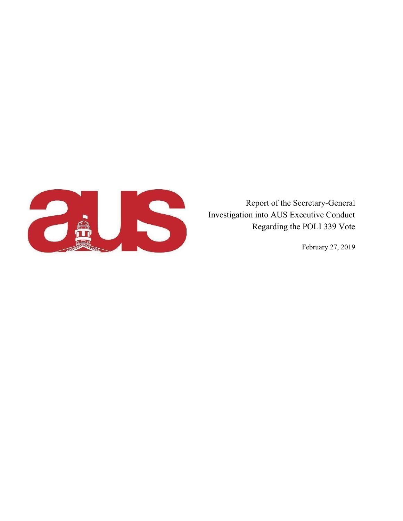

Report of the Secretary-General Investigation into AUS Executive Conduct Regarding the POLI 339 Vote

February 27, 2019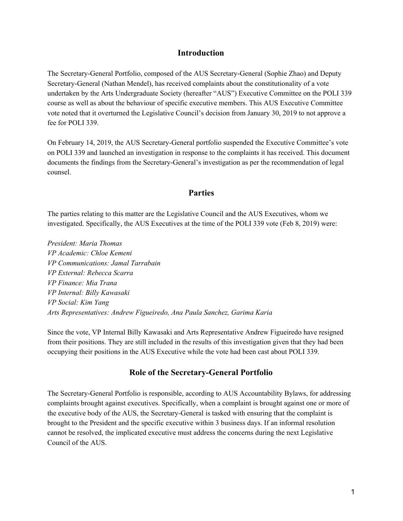### **Introduction**

The Secretary-General Portfolio, composed of the AUS Secretary-General (Sophie Zhao) and Deputy Secretary-General (Nathan Mendel), has received complaints about the constitutionality of a vote undertaken by the Arts Undergraduate Society (hereafter "AUS") Executive Committee on the POLI 339 course as well as about the behaviour of specific executive members. This AUS Executive Committee vote noted that it overturned the Legislative Council's decision from January 30, 2019 to not approve a fee for POLI 339.

On February 14, 2019, the AUS Secretary-General portfolio suspended the Executive Committee's vote on POLI 339 and launched an investigation in response to the complaints it has received. This document documents the findings from the Secretary-General's investigation as per the recommendation of legal counsel.

#### **Parties**

The parties relating to this matter are the Legislative Council and the AUS Executives, whom we investigated. Specifically, the AUS Executives at the time of the POLI 339 vote (Feb 8, 2019) were:

*President: Maria Thomas VP Academic: Chloe Kemeni VP Communications: Jamal Tarrabain VP External: Rebecca Scarra VP Finance: Mia Trana VP Internal: Billy Kawasaki VP Social: Kim Yang Arts Representatives: Andrew Figueiredo, Ana Paula Sanchez, Garima Karia*

Since the vote, VP Internal Billy Kawasaki and Arts Representative Andrew Figueiredo have resigned from their positions. They are still included in the results of this investigation given that they had been occupying their positions in the AUS Executive while the vote had been cast about POLI 339.

#### **Role of the Secretary-General Portfolio**

The Secretary-General Portfolio is responsible, according to AUS Accountability Bylaws, for addressing complaints brought against executives. Specifically, when a complaint is brought against one or more of the executive body of the AUS, the Secretary-General is tasked with ensuring that the complaint is brought to the President and the specific executive within 3 business days. If an informal resolution cannot be resolved, the implicated executive must address the concerns during the next Legislative Council of the AUS.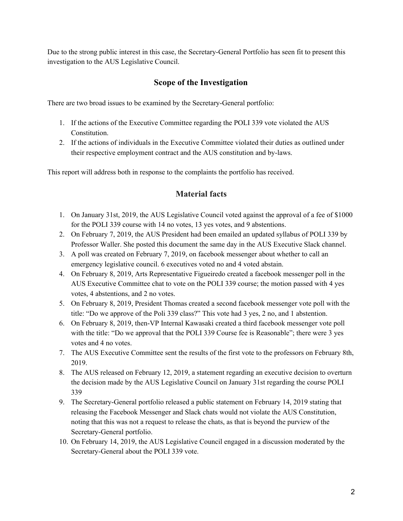Due to the strong public interest in this case, the Secretary-General Portfolio has seen fit to present this investigation to the AUS Legislative Council.

# **Scope of the Investigation**

There are two broad issues to be examined by the Secretary-General portfolio:

- 1. If the actions of the Executive Committee regarding the POLI 339 vote violated the AUS Constitution.
- 2. If the actions of individuals in the Executive Committee violated their duties as outlined under their respective employment contract and the AUS constitution and by-laws.

This report will address both in response to the complaints the portfolio has received.

# **Material facts**

- 1. On January 31st, 2019, the AUS Legislative Council voted against the approval of a fee of \$1000 for the POLI 339 course with 14 no votes, 13 yes votes, and 9 abstentions.
- 2. On February 7, 2019, the AUS President had been emailed an updated syllabus of POLI 339 by Professor Waller. She posted this document the same day in the AUS Executive Slack channel.
- 3. A poll was created on February 7, 2019, on facebook messenger about whether to call an emergency legislative council. 6 executives voted no and 4 voted abstain.
- 4. On February 8, 2019, Arts Representative Figueiredo created a facebook messenger poll in the AUS Executive Committee chat to vote on the POLI 339 course; the motion passed with 4 yes votes, 4 abstentions, and 2 no votes.
- 5. On February 8, 2019, President Thomas created a second facebook messenger vote poll with the title: "Do we approve of the Poli 339 class?" This vote had 3 yes, 2 no, and 1 abstention.
- 6. On February 8, 2019, then-VP Internal Kawasaki created a third facebook messenger vote poll with the title: "Do we approval that the POLI 339 Course fee is Reasonable"; there were 3 yes votes and 4 no votes.
- 7. The AUS Executive Committee sent the results of the first vote to the professors on February 8th, 2019.
- 8. The AUS released on February 12, 2019, a statement regarding an executive decision to overturn the decision made by the AUS Legislative Council on January 31st regarding the course POLI 339
- 9. The Secretary-General portfolio released a public statement on February 14, 2019 stating that releasing the Facebook Messenger and Slack chats would not violate the AUS Constitution, noting that this was not a request to release the chats, as that is beyond the purview of the Secretary-General portfolio.
- 10. On February 14, 2019, the AUS Legislative Council engaged in a discussion moderated by the Secretary-General about the POLI 339 vote.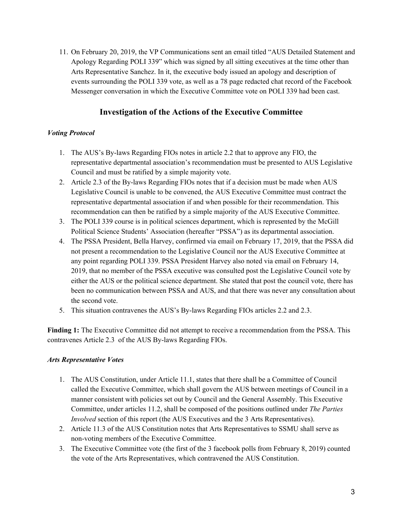11. On February 20, 2019, the VP Communications sent an email titled "AUS Detailed Statement and Apology Regarding POLI 339" which was signed by all sitting executives at the time other than Arts Representative Sanchez. In it, the executive body issued an apology and description of events surrounding the POLI 339 vote, as well as a 78 page redacted chat record of the Facebook Messenger conversation in which the Executive Committee vote on POLI 339 had been cast.

## **Investigation of the Actions of the Executive Committee**

#### *Voting Protocol*

- 1. The AUS's By-laws Regarding FIOs notes in article 2.2 that to approve any FIO, the representative departmental association's recommendation must be presented to AUS Legislative Council and must be ratified by a simple majority vote.
- 2. Article 2.3 of the By-laws Regarding FIOs notes that if a decision must be made when AUS Legislative Council is unable to be convened, the AUS Executive Committee must contract the representative departmental association if and when possible for their recommendation. This recommendation can then be ratified by a simple majority of the AUS Executive Committee.
- 3. The POLI 339 course is in political sciences department, which is represented by the McGill Political Science Students' Association (hereafter "PSSA") as its departmental association.
- 4. The PSSA President, Bella Harvey, confirmed via email on February 17, 2019, that the PSSA did not present a recommendation to the Legislative Council nor the AUS Executive Committee at any point regarding POLI 339. PSSA President Harvey also noted via email on February 14, 2019, that no member of the PSSA executive was consulted post the Legislative Council vote by either the AUS or the political science department. She stated that post the council vote, there has been no communication between PSSA and AUS, and that there was never any consultation about the second vote.
- 5. This situation contravenes the AUS's By-laws Regarding FIOs articles 2.2 and 2.3.

**Finding 1:** The Executive Committee did not attempt to receive a recommendation from the PSSA. This contravenes Article 2.3 of the AUS By-laws Regarding FIOs.

#### *Arts Representative Votes*

- 1. The AUS Constitution, under Article 11.1, states that there shall be a Committee of Council called the Executive Committee, which shall govern the AUS between meetings of Council in a manner consistent with policies set out by Council and the General Assembly. This Executive Committee, under articles 11.2, shall be composed of the positions outlined under *The Parties Involved* section of this report (the AUS Executives and the 3 Arts Representatives).
- 2. Article 11.3 of the AUS Constitution notes that Arts Representatives to SSMU shall serve as non-voting members of the Executive Committee.
- 3. The Executive Committee vote (the first of the 3 facebook polls from February 8, 2019) counted the vote of the Arts Representatives, which contravened the AUS Constitution.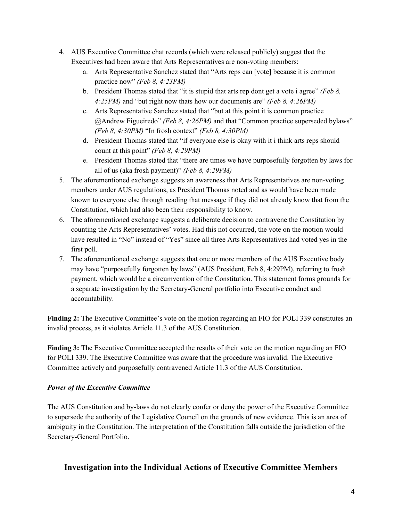- 4. AUS Executive Committee chat records (which were released publicly) suggest that the Executives had been aware that Arts Representatives are non-voting members:
	- a. Arts Representative Sanchez stated that "Arts reps can [vote] because it is common practice now" *(Feb 8, 4:23PM)*
	- b. President Thomas stated that "it is stupid that arts rep dont get a vote i agree" *(Feb 8, 4:25PM)* and "but right now thats how our documents are" *(Feb 8, 4:26PM)*
	- c. Arts Representative Sanchez stated that "but at this point it is common practice @Andrew Figueiredo" *(Feb 8, 4:26PM)* and that "Common practice superseded bylaws" *(Feb 8, 4:30PM)* "In frosh context" *(Feb 8, 4:30PM)*
	- d. President Thomas stated that "if everyone else is okay with it i think arts reps should count at this point" *(Feb 8, 4:29PM)*
	- e. President Thomas stated that "there are times we have purposefully forgotten by laws for all of us (aka frosh payment)" *(Feb 8, 4:29PM)*
- 5. The aforementioned exchange suggests an awareness that Arts Representatives are non-voting members under AUS regulations, as President Thomas noted and as would have been made known to everyone else through reading that message if they did not already know that from the Constitution, which had also been their responsibility to know.
- 6. The aforementioned exchange suggests a deliberate decision to contravene the Constitution by counting the Arts Representatives' votes. Had this not occurred, the vote on the motion would have resulted in "No" instead of "Yes" since all three Arts Representatives had voted yes in the first poll.
- 7. The aforementioned exchange suggests that one or more members of the AUS Executive body may have "purposefully forgotten by laws" (AUS President, Feb 8, 4:29PM), referring to frosh payment, which would be a circumvention of the Constitution. This statement forms grounds for a separate investigation by the Secretary-General portfolio into Executive conduct and accountability.

**Finding 2:** The Executive Committee's vote on the motion regarding an FIO for POLI 339 constitutes an invalid process, as it violates Article 11.3 of the AUS Constitution.

**Finding 3:** The Executive Committee accepted the results of their vote on the motion regarding an FIO for POLI 339. The Executive Committee was aware that the procedure was invalid. The Executive Committee actively and purposefully contravened Article 11.3 of the AUS Constitution.

### *Power of the Executive Committee*

The AUS Constitution and by-laws do not clearly confer or deny the power of the Executive Committee to supersede the authority of the Legislative Council on the grounds of new evidence. This is an area of ambiguity in the Constitution. The interpretation of the Constitution falls outside the jurisdiction of the Secretary-General Portfolio.

## **Investigation into the Individual Actions of Executive Committee Members**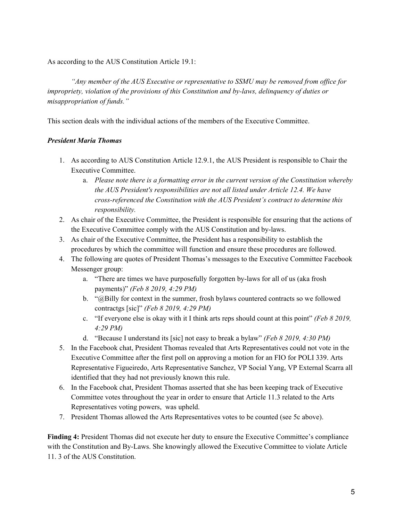As according to the AUS Constitution Article 19.1:

*"Any member of the AUS Executive or representative to SSMU may be removed from of ice for impropriety, violation of the provisions of this Constitution and by-laws, delinquency of duties or misappropriation of funds."*

This section deals with the individual actions of the members of the Executive Committee.

#### *President Maria Thomas*

- 1. As according to AUS Constitution Article 12.9.1, the AUS President is responsible to Chair the Executive Committee.
	- a. *Please note there is a formatting error in the current version of the Constitution whereby the AUS President's responsibilities are not all listed under Article 12.4. We have cross-referenced the Constitution with the AUS President's contract to determine this responsibility.*
- 2. As chair of the Executive Committee, the President is responsible for ensuring that the actions of the Executive Committee comply with the AUS Constitution and by-laws.
- 3. As chair of the Executive Committee, the President has a responsibility to establish the procedures by which the committee will function and ensure these procedures are followed.
- 4. The following are quotes of President Thomas's messages to the Executive Committee Facebook Messenger group:
	- a. "There are times we have purposefully forgotten by-laws for all of us (aka frosh payments)" *(Feb 8 2019, 4:29 PM)*
	- b. "@Billy for context in the summer, frosh bylaws countered contracts so we followed contractgs [sic]" *(Feb 8 2019, 4:29 PM)*
	- c. "If everyone else is okay with it I think arts reps should count at this point" *(Feb 8 2019, 4:29 PM)*
	- d. "Because I understand its [sic] not easy to break a bylaw" *(Feb 8 2019, 4:30 PM)*
- 5. In the Facebook chat, President Thomas revealed that Arts Representatives could not vote in the Executive Committee after the first poll on approving a motion for an FIO for POLI 339. Arts Representative Figueiredo, Arts Representative Sanchez, VP Social Yang, VP External Scarra all identified that they had not previously known this rule.
- 6. In the Facebook chat, President Thomas asserted that she has been keeping track of Executive Committee votes throughout the year in order to ensure that Article 11.3 related to the Arts Representatives voting powers, was upheld.
- 7. President Thomas allowed the Arts Representatives votes to be counted (see 5c above).

**Finding 4:** President Thomas did not execute her duty to ensure the Executive Committee's compliance with the Constitution and By-Laws. She knowingly allowed the Executive Committee to violate Article 11. 3 of the AUS Constitution.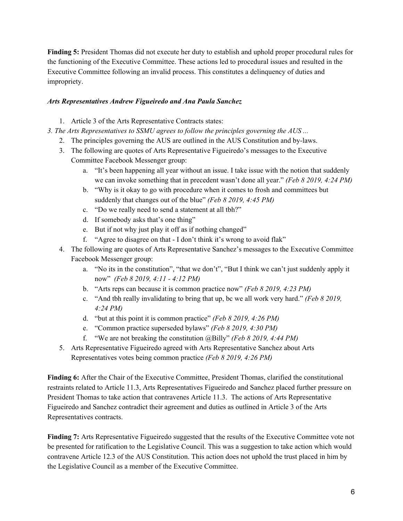**Finding 5:** President Thomas did not execute her duty to establish and uphold proper procedural rules for the functioning of the Executive Committee. These actions led to procedural issues and resulted in the Executive Committee following an invalid process. This constitutes a delinquency of duties and impropriety.

#### *Arts Representatives Andrew Figueiredo and Ana Paula Sanchez*

- 1. Article 3 of the Arts Representative Contracts states:
- *3. The Arts Representatives to SSMU agrees to follow the principles governing the AUS ...*
	- 2. The principles governing the AUS are outlined in the AUS Constitution and by-laws.
	- 3. The following are quotes of Arts Representative Figueiredo's messages to the Executive Committee Facebook Messenger group:
		- a. "It's been happening all year without an issue. I take issue with the notion that suddenly we can invoke something that in precedent wasn't done all year." *(Feb 8 2019, 4:24 PM)*
		- b. "Why is it okay to go with procedure when it comes to frosh and committees but suddenly that changes out of the blue" *(Feb 8 2019, 4:45 PM)*
		- c. "Do we really need to send a statement at all tbh?"
		- d. If somebody asks that's one thing"
		- e. But if not why just play it off as if nothing changed"
		- f. "Agree to disagree on that I don't think it's wrong to avoid flak"
	- 4. The following are quotes of Arts Representative Sanchez's messages to the Executive Committee Facebook Messenger group:
		- a. "No its in the constitution", "that we don't", "But I think we can't just suddenly apply it now" *(Feb 8 2019, 4:11 - 4:12 PM)*
		- b. "Arts reps can because it is common practice now" *(Feb 8 2019, 4:23 PM)*
		- c. "And tbh really invalidating to bring that up, bc we all work very hard." *(Feb 8 2019, 4:24 PM)*
		- d. "but at this point it is common practice" *(Feb 8 2019, 4:26 PM)*
		- e. "Common practice superseded bylaws" *(Feb 8 2019, 4:30 PM)*
		- f. "We are not breaking the constitution @Billy" *(Feb 8 2019, 4:44 PM)*
	- 5. Arts Representative Figueiredo agreed with Arts Representative Sanchez about Arts Representatives votes being common practice *(Feb 8 2019, 4:26 PM)*

**Finding 6:** After the Chair of the Executive Committee, President Thomas, clarified the constitutional restraints related to Article 11.3, Arts Representatives Figueiredo and Sanchez placed further pressure on President Thomas to take action that contravenes Article 11.3. The actions of Arts Representative Figueiredo and Sanchez contradict their agreement and duties as outlined in Article 3 of the Arts Representatives contracts.

**Finding 7:** Arts Representative Figueiredo suggested that the results of the Executive Committee vote not be presented for ratification to the Legislative Council. This was a suggestion to take action which would contravene Article 12.3 of the AUS Constitution. This action does not uphold the trust placed in him by the Legislative Council as a member of the Executive Committee.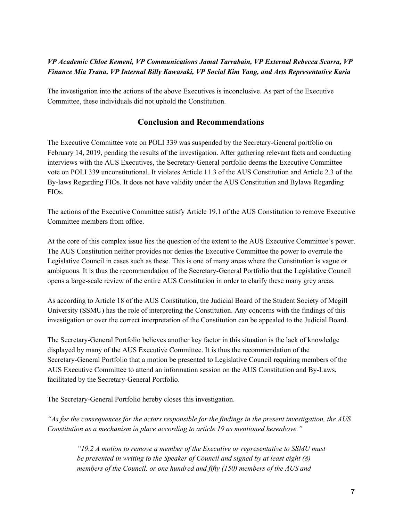## *VP Academic Chloe Kemeni, VP Communications Jamal Tarrabain, VP External Rebecca Scarra, VP Finance Mia Trana, VP Internal Billy Kawasaki, VP Social Kim Yang, and Arts Representative Karia*

The investigation into the actions of the above Executives is inconclusive. As part of the Executive Committee, these individuals did not uphold the Constitution.

## **Conclusion and Recommendations**

The Executive Committee vote on POLI 339 was suspended by the Secretary-General portfolio on February 14, 2019, pending the results of the investigation. After gathering relevant facts and conducting interviews with the AUS Executives, the Secretary-General portfolio deems the Executive Committee vote on POLI 339 unconstitutional. It violates Article 11.3 of the AUS Constitution and Article 2.3 of the By-laws Regarding FIOs. It does not have validity under the AUS Constitution and Bylaws Regarding FIOs.

The actions of the Executive Committee satisfy Article 19.1 of the AUS Constitution to remove Executive Committee members from office.

At the core of this complex issue lies the question of the extent to the AUS Executive Committee's power. The AUS Constitution neither provides nor denies the Executive Committee the power to overrule the Legislative Council in cases such as these. This is one of many areas where the Constitution is vague or ambiguous. It is thus the recommendation of the Secretary-General Portfolio that the Legislative Council opens a large-scale review of the entire AUS Constitution in order to clarify these many grey areas.

As according to Article 18 of the AUS Constitution, the Judicial Board of the Student Society of Mcgill University (SSMU) has the role of interpreting the Constitution. Any concerns with the findings of this investigation or over the correct interpretation of the Constitution can be appealed to the Judicial Board.

The Secretary-General Portfolio believes another key factor in this situation is the lack of knowledge displayed by many of the AUS Executive Committee. It is thus the recommendation of the Secretary-General Portfolio that a motion be presented to Legislative Council requiring members of the AUS Executive Committee to attend an information session on the AUS Constitution and By-Laws, facilitated by the Secretary-General Portfolio.

The Secretary-General Portfolio hereby closes this investigation.

"As for the consequences for the actors responsible for the findings in the present investigation, the  $AUS$ *Constitution as a mechanism in place according to article 19 as mentioned hereabove."*

*"19.2 A motion to remove a member of the Executive or representative to SSMU must be presented in writing to the Speaker of Council and signed by at least eight (8) members of the Council, or one hundred and fifty (150) members of the AUS and*